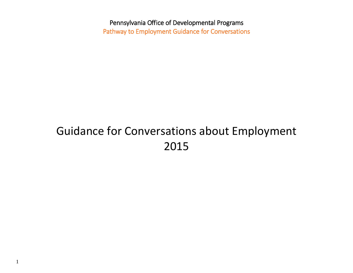Pennsylvania Office of Developmental Programs Pathway to Employment Guidance for Conversations

# Guidance for Conversations about Employment 2015

1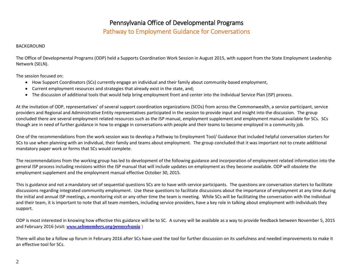# Pathway to Employment Guidance for Conversations

#### BACKGROUND

The Office of Developmental Programs (ODP) held a Supports Coordination Work Session in August 2015, with support from the State Employment Leadership Network (SELN).

The session focused on:

- How Support Coordinators (SCs) currently engage an individual and their family about community-based employment,
- Current employment resources and strategies that already exist in the state, and;
- The discussion of additional tools that would help bring employment front and center into the Individual Service Plan (ISP) process.

At the invitation of ODP, representatives' of several support coordination organizations (SCOs) from across the Commonwealth, a service participant, service providers and Regional and Administrative Entity representatives participated in the session to provide input and insight into the discussion. The group concluded there are several employment related resources such as the ISP manual, employment supplement and employment manual available for SCs. SCs though are in need of further guidance in how to engage in conversations with people and their teams to become employed in a community job.

One of the recommendations from the work session was to develop a Pathway to Employment Tool/ Guidance that included helpful conversation starters for SCs to use when planning with an individual, their family and teams about employment. The group concluded that it was important not to create additional mandatory paper work or forms that SCs would complete.

The recommendations from the working group has led to development of the following guidance and incorporation of employment related information into the general ISP process including revisions within the ISP manual that will include updates on employment as they become available. ODP will obsolete the employment supplement and the employment manual effective October 30, 2015.

This is guidance and not a mandatory set of sequential questions SCs are to have with service participants. The questions are conversation starters to facilitate discussions regarding integrated community employment. Use these questions to facilitate discussions about the importance of employment at any time during the initial and annual ISP meetings, a monitoring visit or any other time the team is meeting. While SCs will be facilitating the conversation with the individual and their team, it is important to note that all team members, including service providers, have a key role in talking about employment with individuals they support.

ODP is most interested in knowing how effective this guidance will be to SC. A survey will be available as a way to provide feedback between November 5, 2015 and February 2016 (visit: *[www.selnmembers.org/pennsylvania](http://www.selnmembers.org/pennsylvania)* )

There will also be a follow up forum in February 2016 after SCs have used the tool for further discussion on its usefulness and needed improvements to make it an effective tool for SCs.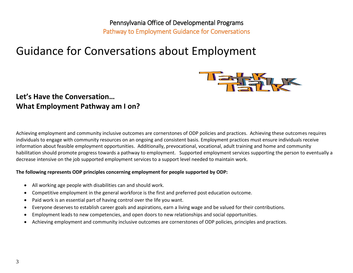# Pennsylvania Office of Developmental Programs Pathway to Employment Guidance for Conversations

# Guidance for Conversations about Employment



# **Let's Have the Conversation… What Employment Pathway am I on?**

Achieving employment and community inclusive outcomes are cornerstones of ODP policies and practices. Achieving these outcomes requires individuals to engage with community resources on an ongoing and consistent basis. Employment practices must ensure individuals receive information about feasible employment opportunities. Additionally, prevocational, vocational, adult training and home and community habilitation should promote progress towards a pathway to employment. Supported employment services supporting the person to eventually a decrease intensive on the job supported employment services to a support level needed to maintain work.

### **The following represents ODP principles concerning employment for people supported by ODP:**

- All working age people with disabilities can and should work.
- Competitive employment in the general workforce is the first and preferred post education outcome.
- Paid work is an essential part of having control over the life you want.
- Everyone deserves to establish career goals and aspirations, earn a living wage and be valued for their contributions.
- Employment leads to new competencies, and open doors to new relationships and social opportunities.
- Achieving employment and community inclusive outcomes are cornerstones of ODP policies, principles and practices.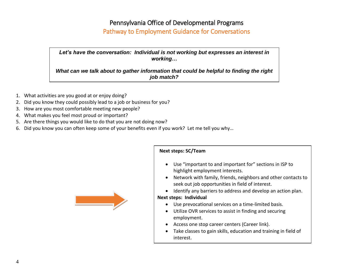## Pathway to Employment Guidance for Conversations

*Let's have the conversation: Individual is not working but expresses an interest in working…* 

*What can we talk about to gather information that could be helpful to finding the right job match?*

- 1. What activities are you good at or enjoy doing?
- 2. Did you know they could possibly lead to a job or business for you?
- 3. How are you most comfortable meeting new people?
- 4. What makes you feel most proud or important?
- 5. Are there things you would like to do that you are not doing now?
- 6. Did you know you can often keep some of your benefits even if you work? Let me tell you why…



### **Next steps: SC/Team**

- Use "important to and important for" sections in ISP to highlight employment interests.
- Network with family, friends, neighbors and other contacts to seek out job opportunities in field of interest.
- Identify any barriers to address and develop an action plan.

### **Next steps: Individual**

- Use prevocational services on a time-limited basis.
- Utilize OVR services to assist in finding and securing employment.
- Access one stop career centers (Career link).
- Take classes to gain skills, education and training in field of interest.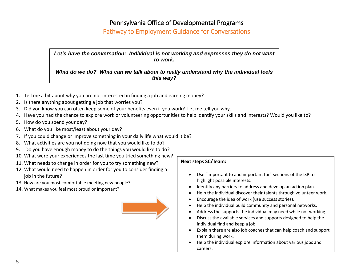### Pathway to Employment Guidance for Conversations

*Let's have the conversation: Individual is not working and expresses they do not want to work.* 

*What do we do? What can we talk about to really understand why the individual feels this way?*

- 1. Tell me a bit about why you are not interested in finding a job and earning money?
- 2. Is there anything about getting a job that worries you?
- 3. Did you know you can often keep some of your benefits even if you work? Let me tell you why…
- 4. Have you had the chance to explore work or volunteering opportunities to help identify your skills and interests? Would you like to?
- 5. How do you spend your day?
- 6. What do you like most/least about your day?
- 7. If you could change or improve something in your daily life what would it be?
- 8. What activities are you not doing now that you would like to do?
- 9. Do you have enough money to do the things you would like to do?
- 10. What were your experiences the last time you tried something new?
- 11. What needs to change in order for you to try something new?
- 12. What would need to happen in order for you to consider finding a job in the future?
- 13. How are you most comfortable meeting new people?
- 14. What makes you feel most proud or important?



### **Next steps SC/Team:**

- Use "important to and important for" sections of the ISP to highlight possible interests.
- Identify any barriers to address and develop an action plan.
- Help the individual discover their talents through volunteer work.
- Encourage the idea of work (use success stories).
- Help the individual build community and personal networks.
- Address the supports the individual may need while not working.
- Discuss the available services and supports designed to help the individual find and keep a job.
- Explain there are also job coaches that can help coach and support them during work.
- Help the individual explore information about various jobs and careers.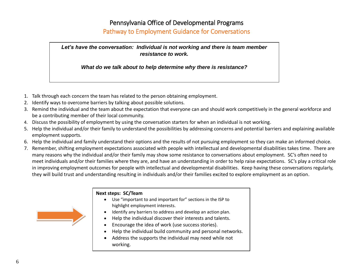# Pathway to Employment Guidance for Conversations

*Let's have the conversation: Individual is not working and there is team member resistance to work.*

*What do we talk about to help determine why there is resistance?*

- 1. Talk through each concern the team has related to the person obtaining employment.
- 2. Identify ways to overcome barriers by talking about possible solutions.
- 3. Remind the individual and the team about the expectation that everyone can and should work competitively in the general workforce and be a contributing member of their local community.
- 4. Discuss the possibility of employment by using the conversation starters for when an individual is not working.
- 5. Help the individual and/or their family to understand the possibilities by addressing concerns and potential barriers and explaining available employment supports.
- 6. Help the individual and family understand their options and the results of not pursuing employment so they can make an informed choice.
- 7. Remember, shifting employment expectations associated with people with intellectual and developmental disabilities takes time. There are many reasons why the individual and/or their family may show some resistance to conversations about employment. SC's often need to meet individuals and/or their families where they are, and have an understanding in order to help raise expectations. SC's play a critical role in improving employment outcomes for people with intellectual and developmental disabilities. Keep having these conversations regularly, they will build trust and understanding resulting in individuals and/or their families excited to explore employment as an option.



### **Next steps: SC/Team**

- Use "important to and important for" sections in the ISP to highlight employment interests.
- Identify any barriers to address and develop an action plan.
- Help the individual discover their interests and talents.
- Encourage the idea of work (use success stories).
- Help the individual build community and personal networks.
- Address the supports the individual may need while not working.